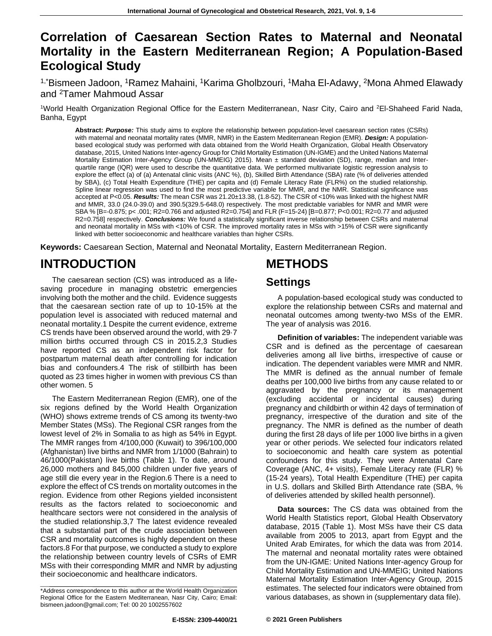# **Correlation of Caesarean Section Rates to Maternal and Neonatal Mortality in the Eastern Mediterranean Region; A Population-Based Ecological Study**

<sup>1,\*</sup>Bismeen Jadoon, <sup>1</sup>Ramez Mahaini, <sup>1</sup>Karima Gholbzouri, <sup>1</sup>Maha El-Adawy, <sup>2</sup>Mona Ahmed Elawady and <sup>2</sup>Tamer Mahmoud Assar

<sup>1</sup>World Health Organization Regional Office for the Eastern Mediterranean, Nasr City, Cairo and <sup>2</sup>El-Shaheed Farid Nada, Banha, Egypt

**Abstract:** *Purpose:* This study aims to explore the relationship between population-level caesarean section rates (CSRs) with maternal and neonatal mortality rates (MMR, NMR) in the Eastern Mediterranean Region (EMR). *Design:* A populationbased ecological study was performed with data obtained from the World Health Organization, Global Health Observatory database, 2015, United Nations Inter-agency Group for Child Mortality Estimation (UN-IGME) and the United Nations Maternal Mortality Estimation Inter-Agency Group (UN-MMEIG) 2015). Mean ± standard deviation (SD), range, median and Interquartile range (IQR) were used to describe the quantitative data. We performed multivariate logistic regression analysis to explore the effect (a) of (a) Antenatal clinic visits (ANC %), (b), Skilled Birth Attendance (SBA) rate (% of deliveries attended by SBA), (c) Total Health Expenditure (THE) per capita and (d) Female Literacy Rate (FLR%) on the studied relationship. Spline linear regression was used to find the most predictive variable for MMR, and the NMR. Statistical significance was accepted at P<0.05. *Results:* The mean CSR was 21.20±13.38, (1.8-52). The CSR of <10% was linked with the highest NMR and MMR, 33.0 (24.0-39.0) and 390.5(329.5-648.0) respectively. The most predictable variables for NMR and MMR were SBA % [B=-0.875; p< .001; R2=0.766 and adjusted R2=0.754] and FLR (F=15-24) [B=0.877; P<0.001; R2=0.77 and adjusted R2=0.758] respectively. *Conclusions:* We found a statistically significant inverse relationship between CSRs and maternal and neonatal mortality in MSs with <10% of CSR. The improved mortality rates in MSs with >15% of CSR were significantly linked with better socioeconomic and healthcare variables than higher CSRs.

**Keywords:** Caesarean Section, Maternal and Neonatal Mortality, Eastern Mediterranean Region.

# **INTRODUCTION**

The caesarean section (CS) was introduced as a lifesaving procedure in managing obstetric emergencies involving both the mother and the child. Evidence suggests that the caesarean section rate of up to 10-15% at the population level is associated with reduced maternal and neonatal mortality.1 Despite the current evidence, extreme CS trends have been observed around the world, with 29·7 million births occurred through CS in 2015.2,3 Studies have reported CS as an independent risk factor for postpartum maternal death after controlling for indication bias and confounders.4 The risk of stillbirth has been quoted as 23 times higher in women with previous CS than other women. 5

The Eastern Mediterranean Region (EMR), one of the six regions defined by the World Health Organization (WHO) shows extreme trends of CS among its twenty-two Member States (MSs). The Regional CSR ranges from the lowest level of 2% in Somalia to as high as 54% in Egypt. The MMR ranges from 4/100,000 (Kuwait) to 396/100,000 (Afghanistan) live births and NMR from 1/1000 (Bahrain) to 46/1000(Pakistan) live births (Table 1). To date, around 26,000 mothers and 845,000 children under five years of age still die every year in the Region.6 There is a need to explore the effect of CS trends on mortality outcomes in the region. Evidence from other Regions yielded inconsistent results as the factors related to socioeconomic and healthcare sectors were not considered in the analysis of the studied relationship.3,7 The latest evidence revealed that a substantial part of the crude association between CSR and mortality outcomes is highly dependent on these factors.8 For that purpose, we conducted a study to explore the relationship between country levels of CSRs of EMR MSs with their corresponding MMR and NMR by adjusting their socioeconomic and healthcare indicators.

## **METHODS Settings**

A population-based ecological study was conducted to explore the relationship between CSRs and maternal and neonatal outcomes among twenty-two MSs of the EMR. The year of analysis was 2016.

**Definition of variables:** The independent variable was CSR and is defined as the percentage of caesarean deliveries among all live births, irrespective of cause or indication. The dependent variables were MMR and NMR. The MMR is defined as the annual number of female deaths per 100,000 live births from any cause related to or aggravated by the pregnancy or its management (excluding accidental or incidental causes) during pregnancy and childbirth or within 42 days of termination of pregnancy, irrespective of the duration and site of the pregnancy. The NMR is defined as the number of death during the first 28 days of life per 1000 live births in a given year or other periods. We selected four indicators related to socioeconomic and health care system as potential confounders for this study. They were Antenatal Care Coverage (ANC, 4+ visits), Female Literacy rate (FLR) % (15-24 years), Total Health Expenditure (THE) per capita in U.S. dollars and Skilled Birth Attendance rate (SBA, % of deliveries attended by skilled health personnel).

**Data sources:** The CS data was obtained from the World Health Statistics report, Global Health Observatory database, 2015 (Table 1). Most MSs have their CS data available from 2005 to 2013, apart from Egypt and the United Arab Emirates, for which the data was from 2014. The maternal and neonatal mortality rates were obtained from the UN-IGME: United Nations Inter-agency Group for Child Mortality Estimation and UN-MMEIG; United Nations Maternal Mortality Estimation Inter-Agency Group, 2015 estimates. The selected four indicators were obtained from various databases, as shown in (supplementary data file).

<sup>\*</sup>Address correspondence to this author at the World Health Organization Regional Office for the Eastern Mediterranean, Nasr City, Cairo; Email: bismeen.jadoon@gmail.com; Tel: 00 20 1002557602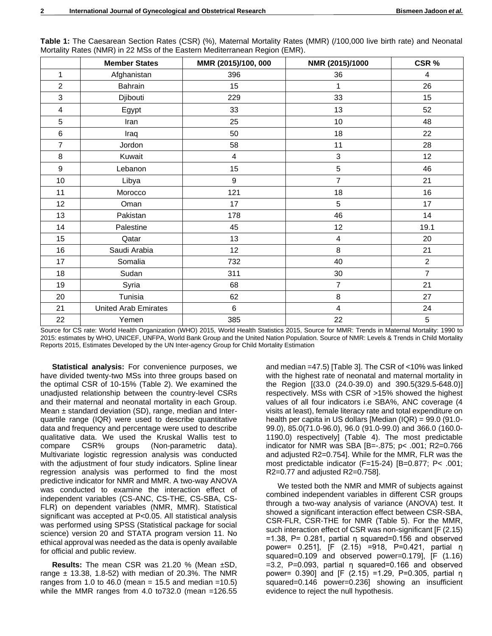|                | <b>Member States</b>        | MMR (2015)/100, 000     | NMR (2015)/1000 | CSR %          |
|----------------|-----------------------------|-------------------------|-----------------|----------------|
| 1              | Afghanistan                 | 396                     | 36              | 4              |
| $\overline{2}$ | Bahrain                     | 15                      | 1               | 26             |
| 3              | Djibouti                    | 229                     | 33              | 15             |
| 4              | Egypt                       | 33                      | 13              | 52             |
| 5              | Iran                        | 25                      | 10              | 48             |
| 6              | Iraq                        | 50                      | 18              | 22             |
| $\overline{7}$ | Jordon                      | 58                      | 11              | 28             |
| 8              | Kuwait                      | $\overline{\mathbf{4}}$ | 3               | 12             |
| 9              | Lebanon                     | 15                      | 5               | 46             |
| 10             | Libya                       | $\boldsymbol{9}$        | $\overline{7}$  | 21             |
| 11             | Morocco                     | 121                     | 18              | 16             |
| 12             | Oman                        | 17                      | 5               | 17             |
| 13             | Pakistan                    | 178                     | 46              | 14             |
| 14             | Palestine                   | 45                      | 12              | 19.1           |
| 15             | Qatar                       | 13                      | 4               | 20             |
| 16             | Saudi Arabia                | 12                      | $\,8\,$         | 21             |
| 17             | Somalia                     | 732                     | 40              | $\overline{c}$ |
| 18             | Sudan                       | 311                     | 30              | $\overline{7}$ |
| 19             | Syria                       | 68                      | $\overline{7}$  | 21             |
| 20             | Tunisia                     | 62                      | 8               | 27             |
| 21             | <b>United Arab Emirates</b> | 6                       | $\overline{4}$  | 24             |
| 22             | Yemen                       | 385                     | 22              | 5              |

**Table 1:** The Caesarean Section Rates (CSR) (%), Maternal Mortality Rates (MMR) (/100,000 live birth rate) and Neonatal Mortality Rates (NMR) in 22 MSs of the Eastern Mediterranean Region (EMR).

Source for CS rate: World Health Organization (WHO) 2015, World Health Statistics 2015, Source for MMR: Trends in Maternal Mortality: 1990 to 2015: estimates by WHO, UNICEF, UNFPA, World Bank Group and the United Nation Population. Source of NMR: Levels & Trends in Child Mortality Reports 2015, Estimates Developed by the UN Inter-agency Group for Child Mortality Estimation

**Statistical analysis:** For convenience purposes, we have divided twenty-two MSs into three groups based on the optimal CSR of 10-15% (Table 2). We examined the unadjusted relationship between the country-level CSRs and their maternal and neonatal mortality in each Group. Mean  $\pm$  standard deviation (SD), range, median and Interquartile range (IQR) were used to describe quantitative data and frequency and percentage were used to describe qualitative data. We used the Kruskal Wallis test to compare CSR% groups (Non-parametric data). Multivariate logistic regression analysis was conducted with the adjustment of four study indicators. Spline linear regression analysis was performed to find the most predictive indicator for NMR and MMR. A two-way ANOVA was conducted to examine the interaction effect of independent variables (CS-ANC, CS-THE, CS-SBA, CS-FLR) on dependent variables (NMR, MMR). Statistical significant was accepted at P<0.05. All statistical analysis was performed using SPSS (Statistical package for social science) version 20 and STATA program version 11. No ethical approval was needed as the data is openly available for official and public review.

**Results:** The mean CSR was 21.20 % (Mean ±SD, range  $\pm$  13.38, 1.8-52) with median of 20.3%. The NMR ranges from 1.0 to 46.0 (mean = 15.5 and median = 10.5) while the MMR ranges from 4.0 to732.0 (mean =126.55

and median =47.5) [Table 3]. The CSR of <10% was linked with the highest rate of neonatal and maternal mortality in the Region [(33.0 (24.0-39.0) and 390.5(329.5-648.0)] respectively. MSs with CSR of >15% showed the highest values of all four indicators i.e SBA%, ANC coverage (4 visits at least), female literacy rate and total expenditure on health per capita in US dollars [Median (IQR) = 99.0 (91.0- 99.0), 85.0(71.0-96.0), 96.0 (91.0-99.0) and 366.0 (160.0- 1190.0) respectively] (Table 4). The most predictable indicator for NMR was SBA [B=-.875; p< .001; R2=0.766 and adjusted R2=0.754]. While for the MMR, FLR was the most predictable indicator (F=15-24) [B=0.877; P< .001; R2=0.77 and adjusted R2=0.758].

We tested both the NMR and MMR of subjects against combined independent variables in different CSR groups through a two-way analysis of variance (ANOVA) test. It showed a significant interaction effect between CSR-SBA, CSR-FLR, CSR-THE for NMR (Table 5). For the MMR, such interaction effect of CSR was non-significant [F (2.15)  $=1.38$ , P= 0.281, partial η squared=0.156 and observed power= 0.251], [F (2.15) =918, P=0.421, partial η squared=0.109 and observed power=0.179], [F (1.16) =3.2, P=0.093, partial η squared=0.166 and observed power= 0.390] and [F (2.15) =1.29, P=0.305, partial η squared=0.146 power=0.236] showing an insufficient evidence to reject the null hypothesis.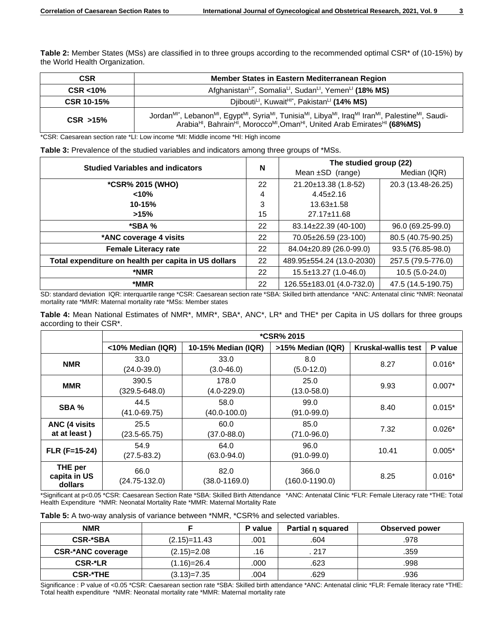**Table 2:** Member States (MSs) are classified in to three groups according to the recommended optimal CSR\* of (10-15%) by the World Health Organization.

| <b>CSR</b>        | Member States in Eastern Mediterranean Region                                                                                                                                                                                                                                                                                                                |
|-------------------|--------------------------------------------------------------------------------------------------------------------------------------------------------------------------------------------------------------------------------------------------------------------------------------------------------------------------------------------------------------|
| $CSR < 10\%$      | Afghanistan <sup>Li*</sup> , Somalia <sup>Li</sup> , Sudan <sup>Li</sup> , Yemen <sup>Li</sup> (18% MS)                                                                                                                                                                                                                                                      |
| <b>CSR 10-15%</b> | Djibouti <sup>LI</sup> , Kuwait <sup>HI*</sup> , Pakistan <sup>LI</sup> (14% MS)                                                                                                                                                                                                                                                                             |
| $CSR$ >15%        | Jordan <sup>MI*</sup> , Lebanon <sup>MI</sup> , Egypt <sup>MI</sup> , Syria <sup>MI</sup> , Tunisia <sup>MI</sup> , Libya <sup>MI</sup> , Iraq <sup>MI</sup> Iran <sup>MI</sup> , Palestine <sup>MI</sup> , Saudi-<br>Arabia <sup>HI</sup> , Bahrain <sup>HI</sup> , Morocco <sup>MI</sup> , Oman <sup>HI</sup> , United Arab Emirates <sup>HI</sup> (68%MS) |

\*CSR: Caesarean section rate \*LI: Low income \*MI: Middle income \*HI: High income

| Table 3: Prevalence of the studied variables and indicators among three groups of *MSs. |  |  |  |  |
|-----------------------------------------------------------------------------------------|--|--|--|--|
|-----------------------------------------------------------------------------------------|--|--|--|--|

| <b>Studied Variables and indicators</b>              |    | The studied group (22)      |                    |  |
|------------------------------------------------------|----|-----------------------------|--------------------|--|
|                                                      |    | Mean $\pm$ SD (range)       | Median (IQR)       |  |
| *CSR% 2015 (WHO)                                     | 22 | 21.20±13.38 (1.8-52)        | 20.3 (13.48-26.25) |  |
| < 10%                                                | 4  | $4.45 \pm 2.16$             |                    |  |
| $10 - 15%$                                           | 3  | $13.63 \pm 1.58$            |                    |  |
| >15%                                                 | 15 | 27.17±11.68                 |                    |  |
| $*$ SBA %                                            | 22 | 83.14±22.39 (40-100)        | 96.0 (69.25-99.0)  |  |
| *ANC coverage 4 visits                               | 22 | 70.05±26.59 (23-100)        | 80.5 (40.75-90.25) |  |
| <b>Female Literacy rate</b>                          | 22 | 84.04±20.89 (26.0-99.0)     | 93.5 (76.85-98.0)  |  |
| Total expenditure on health per capita in US dollars | 22 | 489.95±554.24 (13.0-2030)   | 257.5 (79.5-776.0) |  |
| *NMR                                                 | 22 | $15.5 \pm 13.27$ (1.0-46.0) | 10.5 (5.0-24.0)    |  |
| *MMR                                                 | 22 | 126.55±183.01 (4.0-732.0)   | 47.5 (14.5-190.75) |  |

SD: standard deviation IQR: interquartile range \*CSR: Caesarean section rate \*SBA: Skilled birth attendance \*ANC: Antenatal clinic \*NMR: Neonatal mortality rate \*MMR: Maternal mortality rate \*MSs: Member states

**Table 4:** Mean National Estimates of NMR\*, MMR\*, SBA\*, ANC\*, LR\* and THE\* per Capita in US dollars for three groups according to their CSR\*.

|                                       | <b>*CSR% 2015</b>         |                           |                             |                            |          |
|---------------------------------------|---------------------------|---------------------------|-----------------------------|----------------------------|----------|
|                                       | <10% Median (IQR)         | 10-15% Median (IQR)       | >15% Median (IQR)           | <b>Kruskal-wallis test</b> | P value  |
| <b>NMR</b>                            | 33.0<br>$(24.0 - 39.0)$   | 33.0<br>$(3.0 - 46.0)$    | 8.0<br>$(5.0-12.0)$         | 8.27                       | $0.016*$ |
| <b>MMR</b>                            | 390.5<br>(329.5-648.0)    | 178.0<br>$(4.0 - 229.0)$  | 25.0<br>$(13.0 - 58.0)$     | 9.93                       | $0.007*$ |
| SBA %                                 | 44.5<br>$(41.0 - 69.75)$  | 58.0<br>(40.0-100.0)      | 99.0<br>$(91.0 - 99.0)$     | 8.40                       | $0.015*$ |
| <b>ANC (4 visits)</b><br>at at least) | 25.5<br>$(23.5 - 65.75)$  | 60.0<br>$(37.0 - 88.0)$   | 85.0<br>$(71.0 - 96.0)$     | 7.32                       | $0.026*$ |
| $FLR$ (F=15-24)                       | 54.9<br>$(27.5 - 83.2)$   | 64.0<br>$(63.0 - 94.0)$   | 96.0<br>$(91.0 - 99.0)$     | 10.41                      | $0.005*$ |
| THE per<br>capita in US<br>dollars    | 66.0<br>$(24.75 - 132.0)$ | 82.0<br>$(38.0 - 1169.0)$ | 366.0<br>$(160.0 - 1190.0)$ | 8.25                       | $0.016*$ |

\*Significant at p<0.05 \*CSR: Caesarean Section Rate \*SBA: Skilled Birth Attendance \*ANC: Antenatal Clinic \*FLR: Female Literacy rate \*THE: Total Health Expenditure \*NMR: Neonatal Mortality Rate \*MMR: Maternal Mortality Rate

**Table 5:** A two-way analysis of variance between \*NMR, \*CSR% and selected variables.

| <b>NMR</b>               |                 | P value | Partial n squared | <b>Observed power</b> |
|--------------------------|-----------------|---------|-------------------|-----------------------|
| <b>CSR-*SBA</b>          | $(2.15)=11.43$  | .001    | .604              | .978                  |
| <b>CSR-*ANC coverage</b> | $(2.15)=2.08$   | .16     | 217               | .359                  |
| CSR-*LR                  | $(1.16) = 26.4$ | .000    | .623              | .998                  |
| <b>CSR-*THE</b>          | $(3.13)=7.35$   | 004.    | .629              | .936                  |

Significance : P value of <0.05 \*CSR: Caesarean section rate \*SBA: Skilled birth attendance \*ANC: Antenatal clinic \*FLR: Female literacy rate \*THE: Total health expenditure \*NMR: Neonatal mortality rate \*MMR: Maternal mortality rate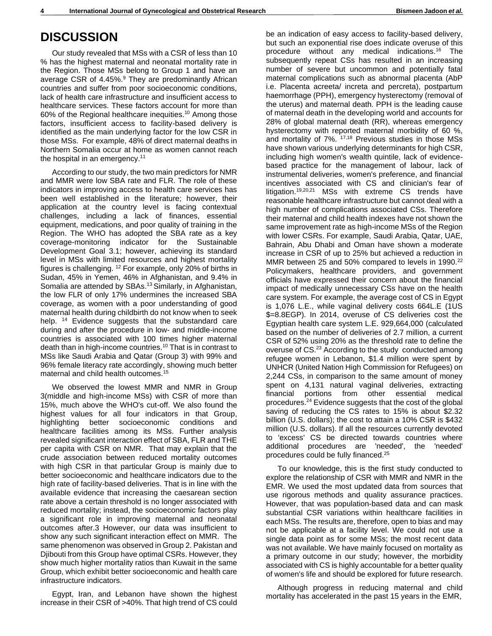## **DISCUSSION**

Our study revealed that MSs with a CSR of less than 10 % has the highest maternal and neonatal mortality rate in the Region. Those MSs belong to Group 1 and have an average CSR of 4.45%.<sup>9</sup> They are predominantly African countries and suffer from poor socioeconomic conditions, lack of health care infrastructure and insufficient access to healthcare services. These factors account for more than 60% of the Regional healthcare inequities.<sup>10</sup> Among those factors, insufficient access to facility-based delivery is identified as the main underlying factor for the low CSR in those MSs. For example, 48% of direct maternal deaths in Northern Somalia occur at home as women cannot reach the hospital in an emergency.<sup>11</sup>

According to our study, the two main predictors for NMR and MMR were low SBA rate and FLR. The role of these indicators in improving access to health care services has been well established in the literature; however, their application at the country level is facing contextual challenges, including a lack of finances, essential equipment, medications, and poor quality of training in the Region. The WHO has adopted the SBA rate as a key coverage-monitoring indicator for the Sustainable Development Goal 3.1; however, achieving its standard level in MSs with limited resources and highest mortality figures is challenging. <sup>12</sup> For example, only 20% of births in Sudan, 45% in Yemen, 46% in Afghanistan, and 9.4% in Somalia are attended by SBAs.<sup>13</sup> Similarly, in Afghanistan, the low FLR of only 17% undermines the increased SBA coverage, as women with a poor understanding of good maternal health during childbirth do not know when to seek help. <sup>14</sup> Evidence suggests that the substandard care during and after the procedure in low- and middle-income countries is associated with 100 times higher maternal death than in high-income countries.<sup>10</sup> That is in contrast to MSs like Saudi Arabia and Qatar (Group 3) with 99% and 96% female literacy rate accordingly, showing much better maternal and child health outcomes.<sup>15</sup>

We observed the lowest MMR and NMR in Group 3(middle and high-income MSs) with CSR of more than 15%, much above the WHO's cut-off. We also found the highest values for all four indicators in that Group, highlighting better socioeconomic conditions and healthcare facilities among its MSs. Further analysis revealed significant interaction effect of SBA, FLR and THE per capita with CSR on NMR. That may explain that the crude association between reduced mortality outcomes with high CSR in that particular Group is mainly due to better socioeconomic and healthcare indicators due to the high rate of facility-based deliveries. That is in line with the available evidence that increasing the caesarean section rate above a certain threshold is no longer associated with reduced mortality; instead, the socioeconomic factors play a significant role in improving maternal and neonatal outcomes after.3 However, our data was insufficient to show any such significant interaction effect on MMR. The same phenomenon was observed in Group 2. Pakistan and Djibouti from this Group have optimal CSRs. However, they show much higher mortality ratios than Kuwait in the same Group, which exhibit better socioeconomic and health care infrastructure indicators.

Egypt, Iran, and Lebanon have shown the highest increase in their CSR of >40%. That high trend of CS could be an indication of easy access to facility-based delivery, but such an exponential rise does indicate overuse of this procedure without any medical indications.<sup>16</sup> The subsequently repeat CSs has resulted in an increasing number of severe but uncommon and potentially fatal maternal complications such as abnormal placenta (AbP i.e. Placenta acreeta/ increta and percreta), postpartum haemorrhage (PPH), emergency hysterectomy (removal of the uterus) and maternal death. PPH is the leading cause of maternal death in the developing world and accounts for 28% of global maternal death (RR), whereas emergency hysterectomy with reported maternal morbidity of 60 %, and mortality of 7%. 17,18 Previous studies in those MSs have shown various underlying determinants for high CSR, including high women's wealth quintile, lack of evidencebased practice for the management of labour, lack of instrumental deliveries, women's preference, and financial incentives associated with CS and clinician's fear of litigation.19,20,21 MSs with extreme CS trends have reasonable healthcare infrastructure but cannot deal with a high number of complications associated CSs. Therefore their maternal and child health indexes have not shown the same improvement rate as high-income MSs of the Region with lower CSRs. For example, Saudi Arabia, Qatar, UAE, Bahrain, Abu Dhabi and Oman have shown a moderate increase in CSR of up to 25% but achieved a reduction in MMR between 25 and 50% compared to levels in 1990.<sup>22</sup> Policymakers, healthcare providers, and government officials have expressed their concern about the financial impact of medically unnecessary CSs have on the health care system. For example, the average cost of CS in Egypt is 1,076 L.E., while vaginal delivery costs 664L.E (1US \$=8.8EGP). In 2014, overuse of CS deliveries cost the Egyptian health care system L.E. 929,664,000 (calculated based on the number of deliveries of 2.7 million, a current CSR of 52% using 20% as the threshold rate to define the overuse of CS.<sup>23</sup> According to the study conducted among refugee women in Lebanon, \$1.4 million were spent by UNHCR (United Nation High Commission for Refugees) on 2,244 CSs, in comparison to the same amount of money spent on 4,131 natural vaginal deliveries, extracting financial portions from other essential medical procedures.<sup>24</sup> Evidence suggests that the cost of the global saving of reducing the CS rates to 15% is about \$2.32 billion (U.S. dollars); the cost to attain a 10% CSR is \$432 million (U.S. dollars). If all the resources currently devoted to 'excess' CS be directed towards countries where additional procedures are 'needed', the 'needed' procedures could be fully financed.<sup>25</sup>

To our knowledge, this is the first study conducted to explore the relationship of CSR with MMR and NMR in the EMR. We used the most updated data from sources that use rigorous methods and quality assurance practices. However, that was population-based data and can mask substantial CSR variations within healthcare facilities in each MSs. The results are, therefore, open to bias and may not be applicable at a facility level. We could not use a single data point as for some MSs; the most recent data was not available. We have mainly focused on mortality as a primary outcome in our study; however, the morbidity associated with CS is highly accountable for a better quality of women's life and should be explored for future research.

Although progress in reducing maternal and child mortality has accelerated in the past 15 years in the EMR,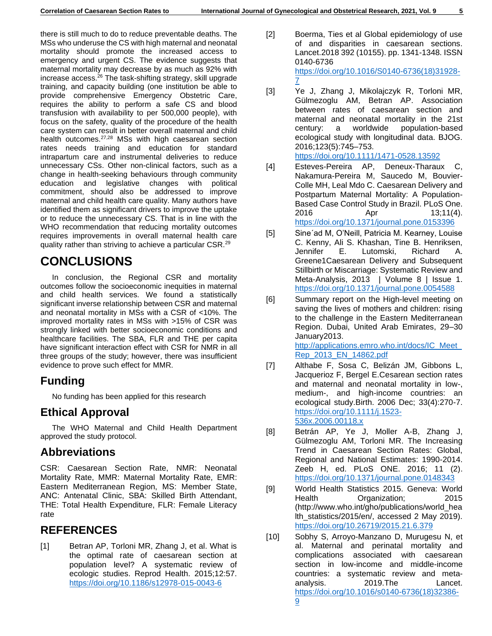there is still much to do to reduce preventable deaths. The MSs who underuse the CS with high maternal and neonatal mortality should promote the increased access to emergency and urgent CS. The evidence suggests that maternal mortality may decrease by as much as 92% with increase access. $26$  The task-shifting strategy, skill upgrade training, and capacity building (one institution be able to provide comprehensive Emergency Obstetric Care, requires the ability to perform a safe CS and blood transfusion with availability to per 500,000 people), with focus on the safety, quality of the procedure of the health care system can result in better overall maternal and child health outcomes.27,28 MSs with high caesarean section rates needs training and education for standard intrapartum care and instrumental deliveries to reduce unnecessary CSs. Other non-clinical factors, such as a change in health-seeking behaviours through community education and legislative changes with political commitment, should also be addressed to improve maternal and child health care quality. Many authors have identified them as significant drivers to improve the uptake or to reduce the unnecessary CS. That is in line with the WHO recommendation that reducing mortality outcomes requires improvements in overall maternal health care quality rather than striving to achieve a particular CSR.<sup>29</sup>

# **CONCLUSIONS**

In conclusion, the Regional CSR and mortality outcomes follow the socioeconomic inequities in maternal and child health services. We found a statistically significant inverse relationship between CSR and maternal and neonatal mortality in MSs with a CSR of <10%. The improved mortality rates in MSs with >15% of CSR was strongly linked with better socioeconomic conditions and healthcare facilities. The SBA, FLR and THE per capita have significant interaction effect with CSR for NMR in all three groups of the study; however, there was insufficient evidence to prove such effect for MMR.

## **Funding**

No funding has been applied for this research

### **Ethical Approval**

The WHO Maternal and Child Health Department approved the study protocol.

### **Abbreviations**

CSR: Caesarean Section Rate, NMR: Neonatal Mortality Rate, MMR: Maternal Mortality Rate, EMR: Eastern Mediterranean Region, MS: Member State, ANC: Antenatal Clinic, SBA: Skilled Birth Attendant, THE: Total Health Expenditure, FLR: Female Literacy rate

### **REFERENCES**

[1] Betran AP, Torloni MR, Zhang J, et al. What is the optimal rate of caesarean section at population level? A systematic review of ecologic studies. Reprod Health. 2015;12:57. <https://doi.org/10.1186/s12978-015-0043-6>

- [2] Boerma, Ties et al Global epidemiology of use of and disparities in caesarean sections. Lancet.2018 392 (10155). pp. 1341-1348. ISSN 0140-6736 [https://doi.org/10.1016/S0140-6736\(18\)31928-](https://doi.org/10.1016/S0140-6736(18)31928-7) [7](https://doi.org/10.1016/S0140-6736(18)31928-7)
- [3] Ye J, Zhang J, Mikolajczyk R, Torloni MR, Gülmezoglu AM, Betran AP. Association between rates of caesarean section and maternal and neonatal mortality in the 21st century: a worldwide population-based ecological study with longitudinal data. BJOG. 2016;123(5):745–753.

<https://doi.org/10.1111/1471-0528.13592>

- [4] Esteves-Pereira AP, Deneux-Tharaux C, Nakamura-Pereira M, Saucedo M, Bouvier-Colle MH, Leal Mdo C. Caesarean Delivery and Postpartum Maternal Mortality: A Population-Based Case Control Study in Brazil. PLoS One. 2016 Apr 13;11(4). <https://doi.org/10.1371/journal.pone.0153396>
- [5] Sine´ad M, O'Neill, Patricia M. Kearney, Louise C. Kenny, Ali S. Khashan, Tine B. Henriksen, Jennifer E. Lutomski, Richard A. Greene1Caesarean Delivery and Subsequent Stillbirth or Miscarriage: Systematic Review and Meta-Analysis, 2013 | Volume 8 | Issue 1. <https://doi.org/10.1371/journal.pone.0054588>
- [6] Summary report on the High-level meeting on saving the lives of mothers and children: rising to the challenge in the Eastern Mediterranean Region. Dubai, United Arab Emirates, 29–30 January2013. http://applications.emro.who.int/docs/IC\_Meet [Rep\\_2013\\_EN\\_14862.pdf](http://applications.emro.who.int/docs/IC_Meet_Rep_2013_EN_14862.pdf)
- [7] Althabe F, Sosa C, Belizán JM, Gibbons L, Jacquerioz F, Bergel E.Cesarean section rates and maternal and neonatal mortality in low-, medium-, and high-income countries: an ecological study.Birth. 2006 Dec; 33(4):270-7. [https://doi.org/10.1111/j.1523-](https://doi.org/10.1111/j.1523-536x.2006.00118.x) [536x.2006.00118.x](https://doi.org/10.1111/j.1523-536x.2006.00118.x)
- [8] Betrán AP, Ye J, Moller A-B, Zhang J, Gülmezoglu AM, Torloni MR. The Increasing Trend in Caesarean Section Rates: Global, Regional and National Estimates: 1990-2014. Zeeb H, ed. PLoS ONE. 2016; 11 (2). <https://doi.org/10.1371/journal.pone.0148343>
- [9] World Health Statistics 2015. Geneva: World Health Organization; 2015 (http://www.who.int/gho/publications/world\_hea lth\_statistics/2015/en/, accessed 2 May 2019). <https://doi.org/10.26719/2015.21.6.379>
- [10] Sobhy S, Arroyo-Manzano D, Murugesu N, et al. Maternal and perinatal mortality and complications associated with caesarean section in low-income and middle-income countries: a systematic review and metaanalysis. 2019.The Lancet. [https://doi.org/10.1016/s0140-6736\(18\)32386-](https://doi.org/10.1016/s0140-6736(18)32386-9) [9](https://doi.org/10.1016/s0140-6736(18)32386-9)